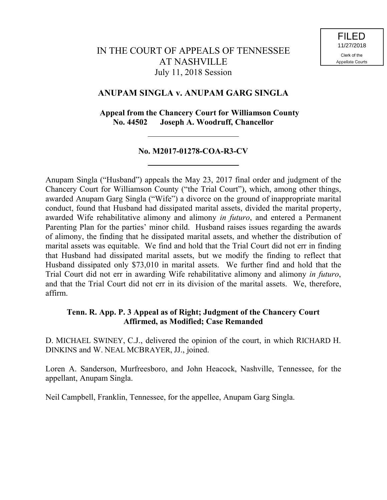# IN THE COURT OF APPEALS OF TENNESSEE AT NASHVILLE July 11, 2018 Session

# **ANUPAM SINGLA v. ANUPAM GARG SINGLA**

## **Appeal from the Chancery Court for Williamson County No. 44502 Joseph A. Woodruff, Chancellor**

## **No. M2017-01278-COA-R3-CV**

Anupam Singla ("Husband") appeals the May 23, 2017 final order and judgment of the Chancery Court for Williamson County ("the Trial Court"), which, among other things, awarded Anupam Garg Singla ("Wife") a divorce on the ground of inappropriate marital conduct, found that Husband had dissipated marital assets, divided the marital property, awarded Wife rehabilitative alimony and alimony *in futuro*, and entered a Permanent Parenting Plan for the parties' minor child. Husband raises issues regarding the awards of alimony, the finding that he dissipated marital assets, and whether the distribution of marital assets was equitable. We find and hold that the Trial Court did not err in finding that Husband had dissipated marital assets, but we modify the finding to reflect that Husband dissipated only \$73,010 in marital assets. We further find and hold that the Trial Court did not err in awarding Wife rehabilitative alimony and alimony *in futuro*, and that the Trial Court did not err in its division of the marital assets. We, therefore, affirm.

### **Tenn. R. App. P. 3 Appeal as of Right; Judgment of the Chancery Court Affirmed, as Modified; Case Remanded**

D. MICHAEL SWINEY, C.J., delivered the opinion of the court, in which RICHARD H. DINKINS and W. NEAL MCBRAYER, JJ., joined.

Loren A. Sanderson, Murfreesboro, and John Heacock, Nashville, Tennessee, for the appellant, Anupam Singla.

Neil Campbell, Franklin, Tennessee, for the appellee, Anupam Garg Singla.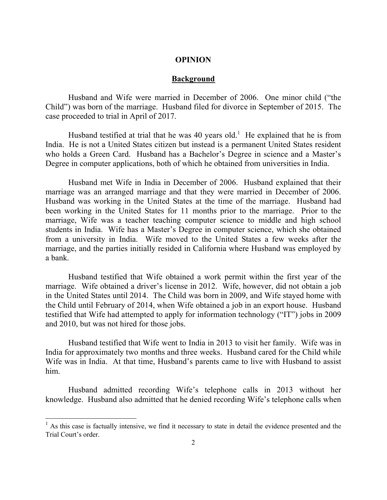### **OPINION**

#### **Background**

Husband and Wife were married in December of 2006. One minor child ("the Child") was born of the marriage. Husband filed for divorce in September of 2015. The case proceeded to trial in April of 2017.

Husband testified at trial that he was  $40$  years old.<sup>1</sup> He explained that he is from India. He is not a United States citizen but instead is a permanent United States resident who holds a Green Card. Husband has a Bachelor's Degree in science and a Master's Degree in computer applications, both of which he obtained from universities in India.

Husband met Wife in India in December of 2006. Husband explained that their marriage was an arranged marriage and that they were married in December of 2006. Husband was working in the United States at the time of the marriage. Husband had been working in the United States for 11 months prior to the marriage. Prior to the marriage, Wife was a teacher teaching computer science to middle and high school students in India. Wife has a Master's Degree in computer science, which she obtained from a university in India. Wife moved to the United States a few weeks after the marriage, and the parties initially resided in California where Husband was employed by a bank.

Husband testified that Wife obtained a work permit within the first year of the marriage. Wife obtained a driver's license in 2012. Wife, however, did not obtain a job in the United States until 2014. The Child was born in 2009, and Wife stayed home with the Child until February of 2014, when Wife obtained a job in an export house. Husband testified that Wife had attempted to apply for information technology ("IT") jobs in 2009 and 2010, but was not hired for those jobs.

Husband testified that Wife went to India in 2013 to visit her family. Wife was in India for approximately two months and three weeks. Husband cared for the Child while Wife was in India. At that time, Husband's parents came to live with Husband to assist him.

Husband admitted recording Wife's telephone calls in 2013 without her knowledge. Husband also admitted that he denied recording Wife's telephone calls when

l

 $<sup>1</sup>$  As this case is factually intensive, we find it necessary to state in detail the evidence presented and the</sup> Trial Court's order.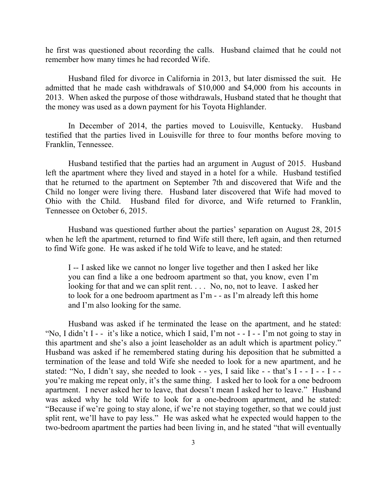he first was questioned about recording the calls. Husband claimed that he could not remember how many times he had recorded Wife.

Husband filed for divorce in California in 2013, but later dismissed the suit. He admitted that he made cash withdrawals of \$10,000 and \$4,000 from his accounts in 2013. When asked the purpose of those withdrawals, Husband stated that he thought that the money was used as a down payment for his Toyota Highlander.

In December of 2014, the parties moved to Louisville, Kentucky. Husband testified that the parties lived in Louisville for three to four months before moving to Franklin, Tennessee.

Husband testified that the parties had an argument in August of 2015. Husband left the apartment where they lived and stayed in a hotel for a while. Husband testified that he returned to the apartment on September 7th and discovered that Wife and the Child no longer were living there. Husband later discovered that Wife had moved to Ohio with the Child. Husband filed for divorce, and Wife returned to Franklin, Tennessee on October 6, 2015.

Husband was questioned further about the parties' separation on August 28, 2015 when he left the apartment, returned to find Wife still there, left again, and then returned to find Wife gone. He was asked if he told Wife to leave, and he stated:

I -- I asked like we cannot no longer live together and then I asked her like you can find a like a one bedroom apartment so that, you know, even I'm looking for that and we can split rent. . . . No, no, not to leave. I asked her to look for a one bedroom apartment as  $\Gamma$ m - - as  $\Gamma$ m already left this home and I'm also looking for the same.

Husband was asked if he terminated the lease on the apartment, and he stated: "No, I didn't I - - it's like a notice, which I said, I'm not - - I - - I'm not going to stay in this apartment and she's also a joint leaseholder as an adult which is apartment policy." Husband was asked if he remembered stating during his deposition that he submitted a termination of the lease and told Wife she needed to look for a new apartment, and he stated: "No, I didn't say, she needed to look - - yes, I said like - - that's  $I - -I - -I - -I$ you're making me repeat only, it's the same thing. I asked her to look for a one bedroom apartment. I never asked her to leave, that doesn't mean I asked her to leave." Husband was asked why he told Wife to look for a one-bedroom apartment, and he stated: "Because if we're going to stay alone, if we're not staying together, so that we could just split rent, we'll have to pay less." He was asked what he expected would happen to the two-bedroom apartment the parties had been living in, and he stated "that will eventually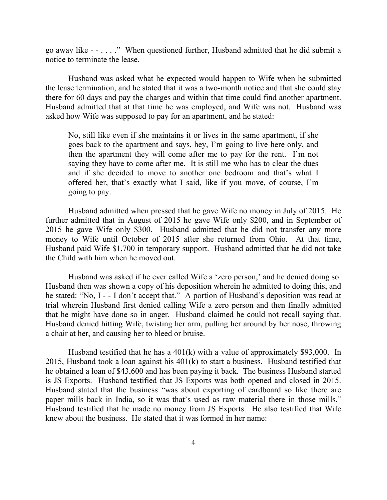go away like - - . . . ." When questioned further, Husband admitted that he did submit a notice to terminate the lease.

Husband was asked what he expected would happen to Wife when he submitted the lease termination, and he stated that it was a two-month notice and that she could stay there for 60 days and pay the charges and within that time could find another apartment. Husband admitted that at that time he was employed, and Wife was not. Husband was asked how Wife was supposed to pay for an apartment, and he stated:

No, still like even if she maintains it or lives in the same apartment, if she goes back to the apartment and says, hey, I'm going to live here only, and then the apartment they will come after me to pay for the rent. I'm not saying they have to come after me. It is still me who has to clear the dues and if she decided to move to another one bedroom and that's what I offered her, that's exactly what I said, like if you move, of course, I'm going to pay.

Husband admitted when pressed that he gave Wife no money in July of 2015. He further admitted that in August of 2015 he gave Wife only \$200, and in September of 2015 he gave Wife only \$300. Husband admitted that he did not transfer any more money to Wife until October of 2015 after she returned from Ohio. At that time, Husband paid Wife \$1,700 in temporary support. Husband admitted that he did not take the Child with him when he moved out.

Husband was asked if he ever called Wife a 'zero person,' and he denied doing so. Husband then was shown a copy of his deposition wherein he admitted to doing this, and he stated: "No, I - - I don't accept that." A portion of Husband's deposition was read at trial wherein Husband first denied calling Wife a zero person and then finally admitted that he might have done so in anger. Husband claimed he could not recall saying that. Husband denied hitting Wife, twisting her arm, pulling her around by her nose, throwing a chair at her, and causing her to bleed or bruise.

Husband testified that he has a 401(k) with a value of approximately \$93,000. In 2015, Husband took a loan against his 401(k) to start a business. Husband testified that he obtained a loan of \$43,600 and has been paying it back. The business Husband started is JS Exports. Husband testified that JS Exports was both opened and closed in 2015. Husband stated that the business "was about exporting of cardboard so like there are paper mills back in India, so it was that's used as raw material there in those mills." Husband testified that he made no money from JS Exports. He also testified that Wife knew about the business. He stated that it was formed in her name: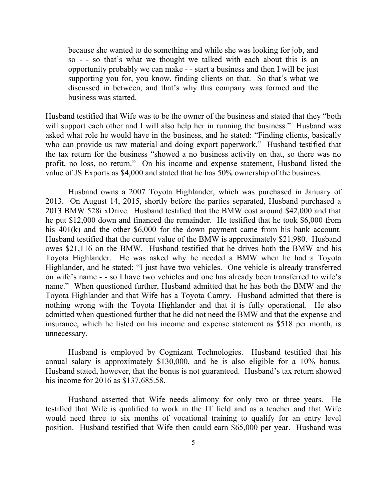because she wanted to do something and while she was looking for job, and so - - so that's what we thought we talked with each about this is an opportunity probably we can make - - start a business and then I will be just supporting you for, you know, finding clients on that. So that's what we discussed in between, and that's why this company was formed and the business was started.

Husband testified that Wife was to be the owner of the business and stated that they "both will support each other and I will also help her in running the business." Husband was asked what role he would have in the business, and he stated: "Finding clients, basically who can provide us raw material and doing export paperwork." Husband testified that the tax return for the business "showed a no business activity on that, so there was no profit, no loss, no return." On his income and expense statement, Husband listed the value of JS Exports as \$4,000 and stated that he has 50% ownership of the business.

Husband owns a 2007 Toyota Highlander, which was purchased in January of 2013. On August 14, 2015, shortly before the parties separated, Husband purchased a 2013 BMW 528i xDrive. Husband testified that the BMW cost around \$42,000 and that he put \$12,000 down and financed the remainder. He testified that he took \$6,000 from his 401(k) and the other \$6,000 for the down payment came from his bank account. Husband testified that the current value of the BMW is approximately \$21,980. Husband owes \$21,116 on the BMW. Husband testified that he drives both the BMW and his Toyota Highlander. He was asked why he needed a BMW when he had a Toyota Highlander, and he stated: "I just have two vehicles. One vehicle is already transferred on wife's name - - so I have two vehicles and one has already been transferred to wife's name." When questioned further, Husband admitted that he has both the BMW and the Toyota Highlander and that Wife has a Toyota Camry. Husband admitted that there is nothing wrong with the Toyota Highlander and that it is fully operational. He also admitted when questioned further that he did not need the BMW and that the expense and insurance, which he listed on his income and expense statement as \$518 per month, is unnecessary.

Husband is employed by Cognizant Technologies. Husband testified that his annual salary is approximately \$130,000, and he is also eligible for a 10% bonus. Husband stated, however, that the bonus is not guaranteed. Husband's tax return showed his income for 2016 as \$137,685.58.

Husband asserted that Wife needs alimony for only two or three years. He testified that Wife is qualified to work in the IT field and as a teacher and that Wife would need three to six months of vocational training to qualify for an entry level position. Husband testified that Wife then could earn \$65,000 per year. Husband was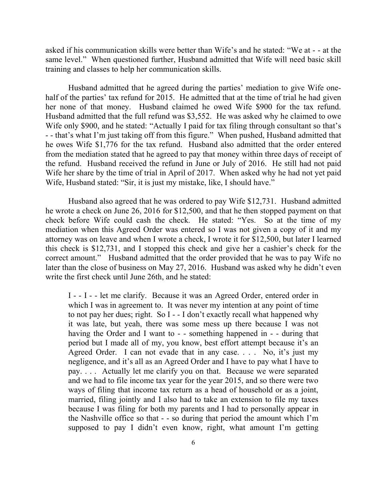asked if his communication skills were better than Wife's and he stated: "We at - - at the same level." When questioned further, Husband admitted that Wife will need basic skill training and classes to help her communication skills.

Husband admitted that he agreed during the parties' mediation to give Wife onehalf of the parties' tax refund for 2015. He admitted that at the time of trial he had given her none of that money. Husband claimed he owed Wife \$900 for the tax refund. Husband admitted that the full refund was \$3,552. He was asked why he claimed to owe Wife only \$900, and he stated: "Actually I paid for tax filing through consultant so that's - - that's what I'm just taking off from this figure." When pushed, Husband admitted that he owes Wife \$1,776 for the tax refund. Husband also admitted that the order entered from the mediation stated that he agreed to pay that money within three days of receipt of the refund. Husband received the refund in June or July of 2016. He still had not paid Wife her share by the time of trial in April of 2017. When asked why he had not yet paid Wife, Husband stated: "Sir, it is just my mistake, like, I should have."

Husband also agreed that he was ordered to pay Wife \$12,731. Husband admitted he wrote a check on June 26, 2016 for \$12,500, and that he then stopped payment on that check before Wife could cash the check. He stated: "Yes. So at the time of my mediation when this Agreed Order was entered so I was not given a copy of it and my attorney was on leave and when I wrote a check, I wrote it for \$12,500, but later I learned this check is \$12,731, and I stopped this check and give her a cashier's check for the correct amount." Husband admitted that the order provided that he was to pay Wife no later than the close of business on May 27, 2016. Husband was asked why he didn't even write the first check until June 26th, and he stated:

I - - I - - let me clarify. Because it was an Agreed Order, entered order in which I was in agreement to. It was never my intention at any point of time to not pay her dues; right. So I - - I don't exactly recall what happened why it was late, but yeah, there was some mess up there because I was not having the Order and I want to - - something happened in - - during that period but I made all of my, you know, best effort attempt because it's an Agreed Order. I can not evade that in any case. . . . No, it's just my negligence, and it's all as an Agreed Order and I have to pay what I have to pay. . . . Actually let me clarify you on that. Because we were separated and we had to file income tax year for the year 2015, and so there were two ways of filing that income tax return as a head of household or as a joint, married, filing jointly and I also had to take an extension to file my taxes because I was filing for both my parents and I had to personally appear in the Nashville office so that - - so during that period the amount which I'm supposed to pay I didn't even know, right, what amount I'm getting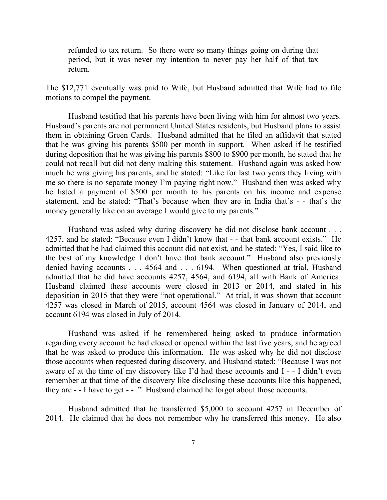refunded to tax return. So there were so many things going on during that period, but it was never my intention to never pay her half of that tax return.

The \$12,771 eventually was paid to Wife, but Husband admitted that Wife had to file motions to compel the payment.

Husband testified that his parents have been living with him for almost two years. Husband's parents are not permanent United States residents, but Husband plans to assist them in obtaining Green Cards. Husband admitted that he filed an affidavit that stated that he was giving his parents \$500 per month in support. When asked if he testified during deposition that he was giving his parents \$800 to \$900 per month, he stated that he could not recall but did not deny making this statement. Husband again was asked how much he was giving his parents, and he stated: "Like for last two years they living with me so there is no separate money I'm paying right now." Husband then was asked why he listed a payment of \$500 per month to his parents on his income and expense statement, and he stated: "That's because when they are in India that's - - that's the money generally like on an average I would give to my parents."

Husband was asked why during discovery he did not disclose bank account . . . 4257, and he stated: "Because even I didn't know that - - that bank account exists." He admitted that he had claimed this account did not exist, and he stated: "Yes, I said like to the best of my knowledge I don't have that bank account." Husband also previously denied having accounts . . . 4564 and . . . 6194. When questioned at trial, Husband admitted that he did have accounts 4257, 4564, and 6194, all with Bank of America. Husband claimed these accounts were closed in 2013 or 2014, and stated in his deposition in 2015 that they were "not operational." At trial, it was shown that account 4257 was closed in March of 2015, account 4564 was closed in January of 2014, and account 6194 was closed in July of 2014.

Husband was asked if he remembered being asked to produce information regarding every account he had closed or opened within the last five years, and he agreed that he was asked to produce this information. He was asked why he did not disclose those accounts when requested during discovery, and Husband stated: "Because I was not aware of at the time of my discovery like I'd had these accounts and I - - I didn't even remember at that time of the discovery like disclosing these accounts like this happened, they are - - I have to get - - ." Husband claimed he forgot about those accounts.

Husband admitted that he transferred \$5,000 to account 4257 in December of 2014. He claimed that he does not remember why he transferred this money. He also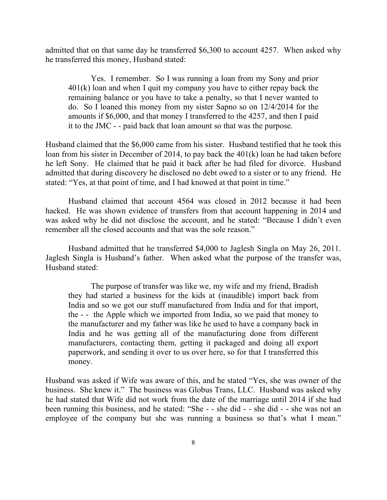admitted that on that same day he transferred \$6,300 to account 4257. When asked why he transferred this money, Husband stated:

Yes. I remember. So I was running a loan from my Sony and prior 401(k) loan and when I quit my company you have to either repay back the remaining balance or you have to take a penalty, so that I never wanted to do. So I loaned this money from my sister Sapno so on 12/4/2014 for the amounts if \$6,000, and that money I transferred to the 4257, and then I paid it to the JMC - - paid back that loan amount so that was the purpose.

Husband claimed that the \$6,000 came from his sister. Husband testified that he took this loan from his sister in December of 2014, to pay back the 401(k) loan he had taken before he left Sony. He claimed that he paid it back after he had filed for divorce. Husband admitted that during discovery he disclosed no debt owed to a sister or to any friend. He stated: "Yes, at that point of time, and I had knowed at that point in time."

Husband claimed that account 4564 was closed in 2012 because it had been hacked. He was shown evidence of transfers from that account happening in 2014 and was asked why he did not disclose the account, and he stated: "Because I didn't even remember all the closed accounts and that was the sole reason."

Husband admitted that he transferred \$4,000 to Jaglesh Singla on May 26, 2011. Jaglesh Singla is Husband's father. When asked what the purpose of the transfer was, Husband stated:

The purpose of transfer was like we, my wife and my friend, Bradish they had started a business for the kids at (inaudible) import back from India and so we got our stuff manufactured from India and for that import, the - - the Apple which we imported from India, so we paid that money to the manufacturer and my father was like he used to have a company back in India and he was getting all of the manufacturing done from different manufacturers, contacting them, getting it packaged and doing all export paperwork, and sending it over to us over here, so for that I transferred this money.

Husband was asked if Wife was aware of this, and he stated "Yes, she was owner of the business. She knew it." The business was Globus Trans, LLC. Husband was asked why he had stated that Wife did not work from the date of the marriage until 2014 if she had been running this business, and he stated: "She - - she did - - she did - - she was not an employee of the company but she was running a business so that's what I mean."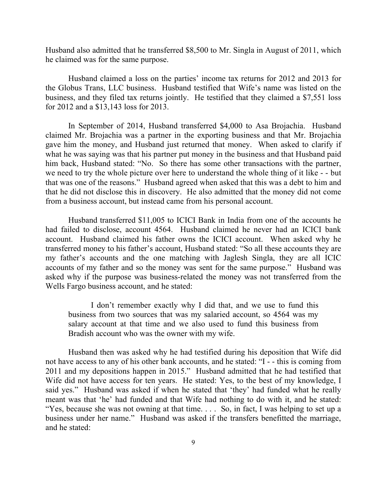Husband also admitted that he transferred \$8,500 to Mr. Singla in August of 2011, which he claimed was for the same purpose.

Husband claimed a loss on the parties' income tax returns for 2012 and 2013 for the Globus Trans, LLC business. Husband testified that Wife's name was listed on the business, and they filed tax returns jointly. He testified that they claimed a \$7,551 loss for 2012 and a \$13,143 loss for 2013.

In September of 2014, Husband transferred \$4,000 to Asa Brojachia. Husband claimed Mr. Brojachia was a partner in the exporting business and that Mr. Brojachia gave him the money, and Husband just returned that money. When asked to clarify if what he was saying was that his partner put money in the business and that Husband paid him back, Husband stated: "No. So there has some other transactions with the partner, we need to try the whole picture over here to understand the whole thing of it like - - but that was one of the reasons." Husband agreed when asked that this was a debt to him and that he did not disclose this in discovery. He also admitted that the money did not come from a business account, but instead came from his personal account.

Husband transferred \$11,005 to ICICI Bank in India from one of the accounts he had failed to disclose, account 4564. Husband claimed he never had an ICICI bank account. Husband claimed his father owns the ICICI account. When asked why he transferred money to his father's account, Husband stated: "So all these accounts they are my father's accounts and the one matching with Jaglesh Singla, they are all ICIC accounts of my father and so the money was sent for the same purpose." Husband was asked why if the purpose was business-related the money was not transferred from the Wells Fargo business account, and he stated:

I don't remember exactly why I did that, and we use to fund this business from two sources that was my salaried account, so 4564 was my salary account at that time and we also used to fund this business from Bradish account who was the owner with my wife.

Husband then was asked why he had testified during his deposition that Wife did not have access to any of his other bank accounts, and he stated: "I - - this is coming from 2011 and my depositions happen in 2015." Husband admitted that he had testified that Wife did not have access for ten years. He stated: Yes, to the best of my knowledge, I said yes." Husband was asked if when he stated that 'they' had funded what he really meant was that 'he' had funded and that Wife had nothing to do with it, and he stated: "Yes, because she was not owning at that time. . . . So, in fact, I was helping to set up a business under her name." Husband was asked if the transfers benefitted the marriage, and he stated: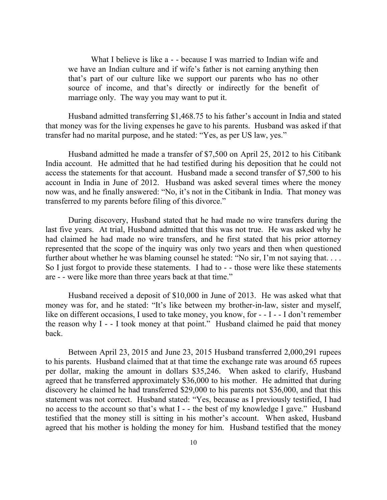What I believe is like a - - because I was married to Indian wife and we have an Indian culture and if wife's father is not earning anything then that's part of our culture like we support our parents who has no other source of income, and that's directly or indirectly for the benefit of marriage only. The way you may want to put it.

Husband admitted transferring \$1,468.75 to his father's account in India and stated that money was for the living expenses he gave to his parents. Husband was asked if that transfer had no marital purpose, and he stated: "Yes, as per US law, yes."

Husband admitted he made a transfer of \$7,500 on April 25, 2012 to his Citibank India account. He admitted that he had testified during his deposition that he could not access the statements for that account. Husband made a second transfer of \$7,500 to his account in India in June of 2012. Husband was asked several times where the money now was, and he finally answered: "No, it's not in the Citibank in India. That money was transferred to my parents before filing of this divorce."

During discovery, Husband stated that he had made no wire transfers during the last five years. At trial, Husband admitted that this was not true. He was asked why he had claimed he had made no wire transfers, and he first stated that his prior attorney represented that the scope of the inquiry was only two years and then when questioned further about whether he was blaming counsel he stated: "No sir, I'm not saying that... So I just forgot to provide these statements. I had to - - those were like these statements are - - were like more than three years back at that time."

Husband received a deposit of \$10,000 in June of 2013. He was asked what that money was for, and he stated: "It's like between my brother-in-law, sister and myself, like on different occasions, I used to take money, you know, for - - I - - I don't remember the reason why I - - I took money at that point." Husband claimed he paid that money back.

Between April 23, 2015 and June 23, 2015 Husband transferred 2,000,291 rupees to his parents. Husband claimed that at that time the exchange rate was around 65 rupees per dollar, making the amount in dollars \$35,246. When asked to clarify, Husband agreed that he transferred approximately \$36,000 to his mother. He admitted that during discovery he claimed he had transferred \$29,000 to his parents not \$36,000, and that this statement was not correct. Husband stated: "Yes, because as I previously testified, I had no access to the account so that's what I - - the best of my knowledge I gave." Husband testified that the money still is sitting in his mother's account. When asked, Husband agreed that his mother is holding the money for him. Husband testified that the money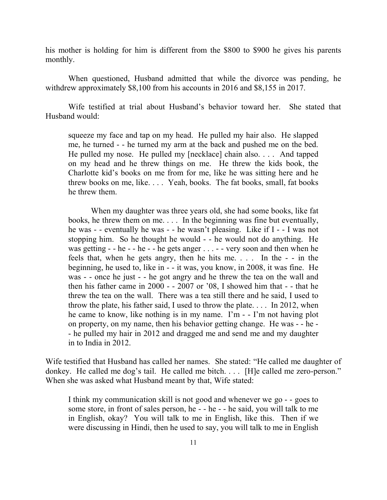his mother is holding for him is different from the \$800 to \$900 he gives his parents monthly.

When questioned, Husband admitted that while the divorce was pending, he withdrew approximately \$8,100 from his accounts in 2016 and \$8,155 in 2017.

Wife testified at trial about Husband's behavior toward her. She stated that Husband would:

squeeze my face and tap on my head. He pulled my hair also. He slapped me, he turned - - he turned my arm at the back and pushed me on the bed. He pulled my nose. He pulled my [necklace] chain also. . . . And tapped on my head and he threw things on me. He threw the kids book, the Charlotte kid's books on me from for me, like he was sitting here and he threw books on me, like. . . . Yeah, books. The fat books, small, fat books he threw them.

When my daughter was three years old, she had some books, like fat books, he threw them on me. . . . In the beginning was fine but eventually, he was - - eventually he was - - he wasn't pleasing. Like if I - - I was not stopping him. So he thought he would - - he would not do anything. He was getting - - he - - he - - he gets anger . . . - - very soon and then when he feels that, when he gets angry, then he hits me. . . . In the - - in the beginning, he used to, like in - - it was, you know, in 2008, it was fine. He was - - once he just - - he got angry and he threw the tea on the wall and then his father came in 2000 - - 2007 or '08, I showed him that - - that he threw the tea on the wall. There was a tea still there and he said, I used to throw the plate, his father said, I used to throw the plate. . . . In 2012, when he came to know, like nothing is in my name. I'm - - I'm not having plot on property, on my name, then his behavior getting change. He was - - he - - he pulled my hair in 2012 and dragged me and send me and my daughter in to India in 2012.

Wife testified that Husband has called her names. She stated: "He called me daughter of donkey. He called me dog's tail. He called me bitch. . . . [H]e called me zero-person." When she was asked what Husband meant by that, Wife stated:

I think my communication skill is not good and whenever we go - - goes to some store, in front of sales person, he - - he - - he said, you will talk to me in English, okay? You will talk to me in English, like this. Then if we were discussing in Hindi, then he used to say, you will talk to me in English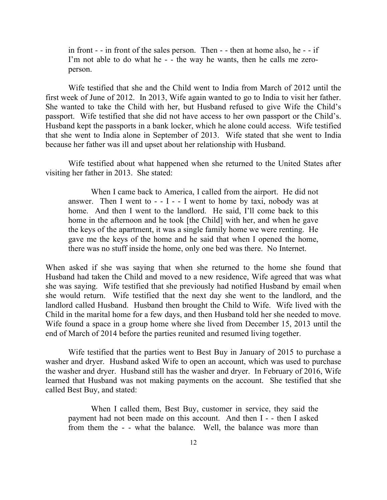in front - - in front of the sales person. Then - - then at home also, he - - if I'm not able to do what he - - the way he wants, then he calls me zeroperson.

Wife testified that she and the Child went to India from March of 2012 until the first week of June of 2012. In 2013, Wife again wanted to go to India to visit her father. She wanted to take the Child with her, but Husband refused to give Wife the Child's passport. Wife testified that she did not have access to her own passport or the Child's. Husband kept the passports in a bank locker, which he alone could access. Wife testified that she went to India alone in September of 2013. Wife stated that she went to India because her father was ill and upset about her relationship with Husband.

Wife testified about what happened when she returned to the United States after visiting her father in 2013. She stated:

When I came back to America, I called from the airport. He did not answer. Then I went to  $-1 - 1$  went to home by taxi, nobody was at home. And then I went to the landlord. He said, I'll come back to this home in the afternoon and he took [the Child] with her, and when he gave the keys of the apartment, it was a single family home we were renting. He gave me the keys of the home and he said that when I opened the home, there was no stuff inside the home, only one bed was there. No Internet.

When asked if she was saying that when she returned to the home she found that Husband had taken the Child and moved to a new residence, Wife agreed that was what she was saying. Wife testified that she previously had notified Husband by email when she would return. Wife testified that the next day she went to the landlord, and the landlord called Husband. Husband then brought the Child to Wife. Wife lived with the Child in the marital home for a few days, and then Husband told her she needed to move. Wife found a space in a group home where she lived from December 15, 2013 until the end of March of 2014 before the parties reunited and resumed living together.

Wife testified that the parties went to Best Buy in January of 2015 to purchase a washer and dryer. Husband asked Wife to open an account, which was used to purchase the washer and dryer. Husband still has the washer and dryer. In February of 2016, Wife learned that Husband was not making payments on the account. She testified that she called Best Buy, and stated:

When I called them, Best Buy, customer in service, they said the payment had not been made on this account. And then I - - then I asked from them the - - what the balance. Well, the balance was more than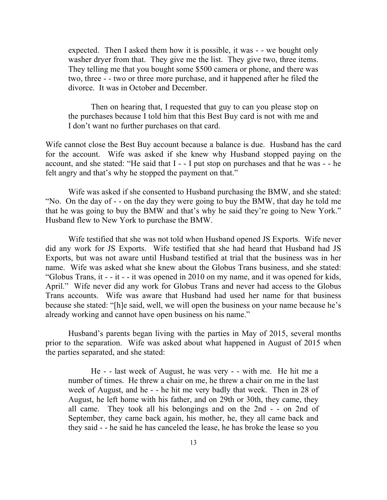expected. Then I asked them how it is possible, it was - - we bought only washer dryer from that. They give me the list. They give two, three items. They telling me that you bought some \$500 camera or phone, and there was two, three - - two or three more purchase, and it happened after he filed the divorce. It was in October and December.

Then on hearing that, I requested that guy to can you please stop on the purchases because I told him that this Best Buy card is not with me and I don't want no further purchases on that card.

Wife cannot close the Best Buy account because a balance is due. Husband has the card for the account. Wife was asked if she knew why Husband stopped paying on the account, and she stated: "He said that I - - I put stop on purchases and that he was - - he felt angry and that's why he stopped the payment on that."

Wife was asked if she consented to Husband purchasing the BMW, and she stated: "No. On the day of - - on the day they were going to buy the BMW, that day he told me that he was going to buy the BMW and that's why he said they're going to New York." Husband flew to New York to purchase the BMW.

Wife testified that she was not told when Husband opened JS Exports. Wife never did any work for JS Exports. Wife testified that she had heard that Husband had JS Exports, but was not aware until Husband testified at trial that the business was in her name. Wife was asked what she knew about the Globus Trans business, and she stated: "Globus Trans, it - - it - - it was opened in 2010 on my name, and it was opened for kids, April." Wife never did any work for Globus Trans and never had access to the Globus Trans accounts. Wife was aware that Husband had used her name for that business because she stated: "[h]e said, well, we will open the business on your name because he's already working and cannot have open business on his name."

Husband's parents began living with the parties in May of 2015, several months prior to the separation. Wife was asked about what happened in August of 2015 when the parties separated, and she stated:

He - - last week of August, he was very - - with me. He hit me a number of times. He threw a chair on me, he threw a chair on me in the last week of August, and he - - he hit me very badly that week. Then in 28 of August, he left home with his father, and on 29th or 30th, they came, they all came. They took all his belongings and on the 2nd - - on 2nd of September, they came back again, his mother, he, they all came back and they said - - he said he has canceled the lease, he has broke the lease so you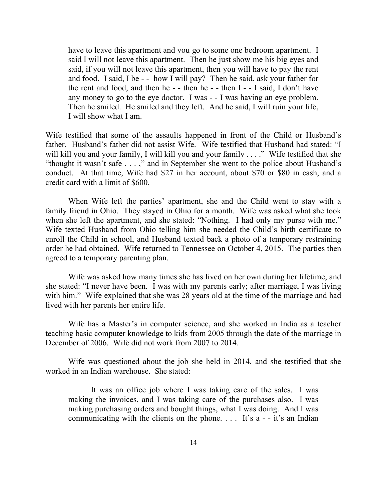have to leave this apartment and you go to some one bedroom apartment. I said I will not leave this apartment. Then he just show me his big eyes and said, if you will not leave this apartment, then you will have to pay the rent and food. I said, I be - - how I will pay? Then he said, ask your father for the rent and food, and then he - - then he - - then I - - I said, I don't have any money to go to the eye doctor. I was - - I was having an eye problem. Then he smiled. He smiled and they left. And he said, I will ruin your life, I will show what I am.

Wife testified that some of the assaults happened in front of the Child or Husband's father. Husband's father did not assist Wife. Wife testified that Husband had stated: "I will kill you and your family, I will kill you and your family . . . ." Wife testified that she "thought it wasn't safe . . . ," and in September she went to the police about Husband's conduct. At that time, Wife had \$27 in her account, about \$70 or \$80 in cash, and a credit card with a limit of \$600.

When Wife left the parties' apartment, she and the Child went to stay with a family friend in Ohio. They stayed in Ohio for a month. Wife was asked what she took when she left the apartment, and she stated: "Nothing. I had only my purse with me." Wife texted Husband from Ohio telling him she needed the Child's birth certificate to enroll the Child in school, and Husband texted back a photo of a temporary restraining order he had obtained. Wife returned to Tennessee on October 4, 2015. The parties then agreed to a temporary parenting plan.

Wife was asked how many times she has lived on her own during her lifetime, and she stated: "I never have been. I was with my parents early; after marriage, I was living with him." Wife explained that she was 28 years old at the time of the marriage and had lived with her parents her entire life.

Wife has a Master's in computer science, and she worked in India as a teacher teaching basic computer knowledge to kids from 2005 through the date of the marriage in December of 2006. Wife did not work from 2007 to 2014.

Wife was questioned about the job she held in 2014, and she testified that she worked in an Indian warehouse. She stated:

It was an office job where I was taking care of the sales. I was making the invoices, and I was taking care of the purchases also. I was making purchasing orders and bought things, what I was doing. And I was communicating with the clients on the phone.  $\ldots$  It's a - - it's an Indian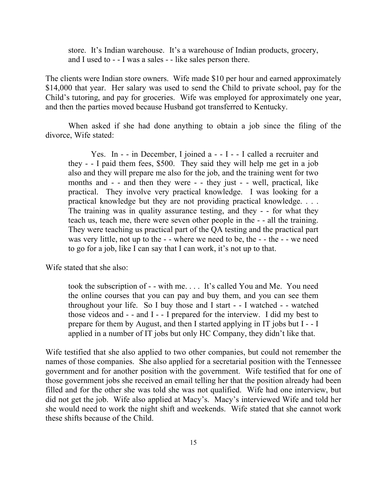store. It's Indian warehouse. It's a warehouse of Indian products, grocery, and I used to - - I was a sales - - like sales person there.

The clients were Indian store owners. Wife made \$10 per hour and earned approximately \$14,000 that year. Her salary was used to send the Child to private school, pay for the Child's tutoring, and pay for groceries. Wife was employed for approximately one year, and then the parties moved because Husband got transferred to Kentucky.

When asked if she had done anything to obtain a job since the filing of the divorce, Wife stated:

Yes. In  $-$  - in December, I joined a  $-$  - I - - I called a recruiter and they - - I paid them fees, \$500. They said they will help me get in a job also and they will prepare me also for the job, and the training went for two months and - - and then they were - - they just - - well, practical, like practical. They involve very practical knowledge. I was looking for a practical knowledge but they are not providing practical knowledge. . . . The training was in quality assurance testing, and they - - for what they teach us, teach me, there were seven other people in the - - all the training. They were teaching us practical part of the QA testing and the practical part was very little, not up to the - - where we need to be, the - - the - - we need to go for a job, like I can say that I can work, it's not up to that.

Wife stated that she also:

took the subscription of - - with me. . . . It's called You and Me. You need the online courses that you can pay and buy them, and you can see them throughout your life. So I buy those and I start - - I watched - - watched those videos and - - and I - - I prepared for the interview. I did my best to prepare for them by August, and then I started applying in IT jobs but I - - I applied in a number of IT jobs but only HC Company, they didn't like that.

Wife testified that she also applied to two other companies, but could not remember the names of those companies. She also applied for a secretarial position with the Tennessee government and for another position with the government. Wife testified that for one of those government jobs she received an email telling her that the position already had been filled and for the other she was told she was not qualified. Wife had one interview, but did not get the job. Wife also applied at Macy's. Macy's interviewed Wife and told her she would need to work the night shift and weekends. Wife stated that she cannot work these shifts because of the Child.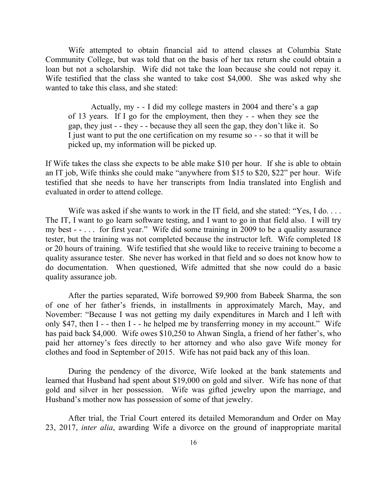Wife attempted to obtain financial aid to attend classes at Columbia State Community College, but was told that on the basis of her tax return she could obtain a loan but not a scholarship. Wife did not take the loan because she could not repay it. Wife testified that the class she wanted to take cost \$4,000. She was asked why she wanted to take this class, and she stated:

Actually, my - - I did my college masters in 2004 and there's a gap of 13 years. If I go for the employment, then they - - when they see the gap, they just - - they - - because they all seen the gap, they don't like it. So I just want to put the one certification on my resume so - - so that it will be picked up, my information will be picked up.

If Wife takes the class she expects to be able make \$10 per hour. If she is able to obtain an IT job, Wife thinks she could make "anywhere from \$15 to \$20, \$22" per hour. Wife testified that she needs to have her transcripts from India translated into English and evaluated in order to attend college.

Wife was asked if she wants to work in the IT field, and she stated: "Yes, I do.... The IT, I want to go learn software testing, and I want to go in that field also. I will try my best - - . . . for first year." Wife did some training in 2009 to be a quality assurance tester, but the training was not completed because the instructor left. Wife completed 18 or 20 hours of training. Wife testified that she would like to receive training to become a quality assurance tester. She never has worked in that field and so does not know how to do documentation. When questioned, Wife admitted that she now could do a basic quality assurance job.

After the parties separated, Wife borrowed \$9,900 from Babeek Sharma, the son of one of her father's friends, in installments in approximately March, May, and November: "Because I was not getting my daily expenditures in March and I left with only \$47, then I - - then I - - he helped me by transferring money in my account." Wife has paid back \$4,000. Wife owes \$10,250 to Ahwan Singla, a friend of her father's, who paid her attorney's fees directly to her attorney and who also gave Wife money for clothes and food in September of 2015. Wife has not paid back any of this loan.

During the pendency of the divorce, Wife looked at the bank statements and learned that Husband had spent about \$19,000 on gold and silver. Wife has none of that gold and silver in her possession. Wife was gifted jewelry upon the marriage, and Husband's mother now has possession of some of that jewelry.

After trial, the Trial Court entered its detailed Memorandum and Order on May 23, 2017, *inter alia*, awarding Wife a divorce on the ground of inappropriate marital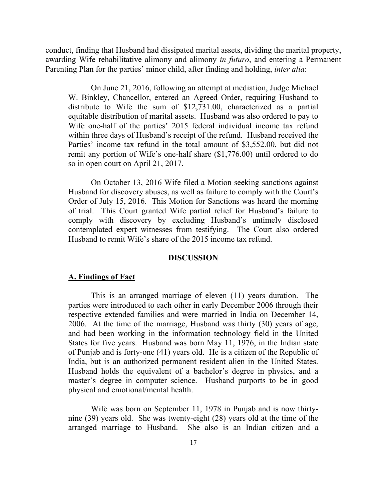conduct, finding that Husband had dissipated marital assets, dividing the marital property, awarding Wife rehabilitative alimony and alimony *in futuro*, and entering a Permanent Parenting Plan for the parties' minor child, after finding and holding, *inter alia*:

On June 21, 2016, following an attempt at mediation, Judge Michael W. Binkley, Chancellor, entered an Agreed Order, requiring Husband to distribute to Wife the sum of \$12,731.00, characterized as a partial equitable distribution of marital assets. Husband was also ordered to pay to Wife one-half of the parties' 2015 federal individual income tax refund within three days of Husband's receipt of the refund. Husband received the Parties' income tax refund in the total amount of \$3,552.00, but did not remit any portion of Wife's one-half share (\$1,776.00) until ordered to do so in open court on April 21, 2017.

On October 13, 2016 Wife filed a Motion seeking sanctions against Husband for discovery abuses, as well as failure to comply with the Court's Order of July 15, 2016. This Motion for Sanctions was heard the morning of trial. This Court granted Wife partial relief for Husband's failure to comply with discovery by excluding Husband's untimely disclosed contemplated expert witnesses from testifying. The Court also ordered Husband to remit Wife's share of the 2015 income tax refund.

#### **DISCUSSION**

#### **A. Findings of Fact**

This is an arranged marriage of eleven (11) years duration. The parties were introduced to each other in early December 2006 through their respective extended families and were married in India on December 14, 2006. At the time of the marriage, Husband was thirty (30) years of age, and had been working in the information technology field in the United States for five years. Husband was born May 11, 1976, in the Indian state of Punjab and is forty-one (41) years old. He is a citizen of the Republic of India, but is an authorized permanent resident alien in the United States. Husband holds the equivalent of a bachelor's degree in physics, and a master's degree in computer science. Husband purports to be in good physical and emotional/mental health.

Wife was born on September 11, 1978 in Punjab and is now thirtynine (39) years old. She was twenty-eight (28) years old at the time of the arranged marriage to Husband. She also is an Indian citizen and a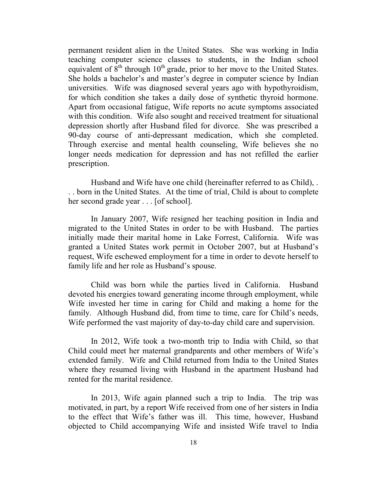permanent resident alien in the United States. She was working in India teaching computer science classes to students, in the Indian school equivalent of  $\hat{8}^{th}$  through  $10^{th}$  grade, prior to her move to the United States. She holds a bachelor's and master's degree in computer science by Indian universities. Wife was diagnosed several years ago with hypothyroidism, for which condition she takes a daily dose of synthetic thyroid hormone. Apart from occasional fatigue, Wife reports no acute symptoms associated with this condition. Wife also sought and received treatment for situational depression shortly after Husband filed for divorce. She was prescribed a 90-day course of anti-depressant medication, which she completed. Through exercise and mental health counseling, Wife believes she no longer needs medication for depression and has not refilled the earlier prescription.

Husband and Wife have one child (hereinafter referred to as Child), . . . born in the United States. At the time of trial, Child is about to complete her second grade year . . . [of school].

In January 2007, Wife resigned her teaching position in India and migrated to the United States in order to be with Husband. The parties initially made their marital home in Lake Forrest, California. Wife was granted a United States work permit in October 2007, but at Husband's request, Wife eschewed employment for a time in order to devote herself to family life and her role as Husband's spouse.

Child was born while the parties lived in California. Husband devoted his energies toward generating income through employment, while Wife invested her time in caring for Child and making a home for the family. Although Husband did, from time to time, care for Child's needs, Wife performed the vast majority of day-to-day child care and supervision.

In 2012, Wife took a two-month trip to India with Child, so that Child could meet her maternal grandparents and other members of Wife's extended family. Wife and Child returned from India to the United States where they resumed living with Husband in the apartment Husband had rented for the marital residence.

In 2013, Wife again planned such a trip to India. The trip was motivated, in part, by a report Wife received from one of her sisters in India to the effect that Wife's father was ill. This time, however, Husband objected to Child accompanying Wife and insisted Wife travel to India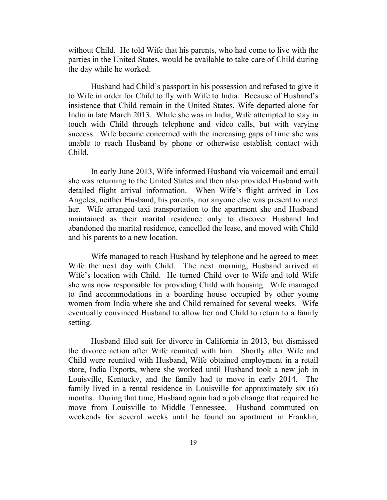without Child. He told Wife that his parents, who had come to live with the parties in the United States, would be available to take care of Child during the day while he worked.

Husband had Child's passport in his possession and refused to give it to Wife in order for Child to fly with Wife to India. Because of Husband's insistence that Child remain in the United States, Wife departed alone for India in late March 2013. While she was in India, Wife attempted to stay in touch with Child through telephone and video calls, but with varying success. Wife became concerned with the increasing gaps of time she was unable to reach Husband by phone or otherwise establish contact with Child.

In early June 2013, Wife informed Husband via voicemail and email she was returning to the United States and then also provided Husband with detailed flight arrival information. When Wife's flight arrived in Los Angeles, neither Husband, his parents, nor anyone else was present to meet her. Wife arranged taxi transportation to the apartment she and Husband maintained as their marital residence only to discover Husband had abandoned the marital residence, cancelled the lease, and moved with Child and his parents to a new location.

Wife managed to reach Husband by telephone and he agreed to meet Wife the next day with Child. The next morning, Husband arrived at Wife's location with Child. He turned Child over to Wife and told Wife she was now responsible for providing Child with housing. Wife managed to find accommodations in a boarding house occupied by other young women from India where she and Child remained for several weeks. Wife eventually convinced Husband to allow her and Child to return to a family setting.

Husband filed suit for divorce in California in 2013, but dismissed the divorce action after Wife reunited with him. Shortly after Wife and Child were reunited with Husband, Wife obtained employment in a retail store, India Exports, where she worked until Husband took a new job in Louisville, Kentucky, and the family had to move in early 2014. The family lived in a rental residence in Louisville for approximately six (6) months. During that time, Husband again had a job change that required he move from Louisville to Middle Tennessee. Husband commuted on weekends for several weeks until he found an apartment in Franklin,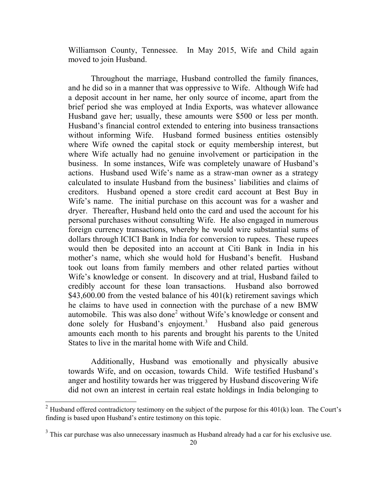Williamson County, Tennessee. In May 2015, Wife and Child again moved to join Husband.

Throughout the marriage, Husband controlled the family finances, and he did so in a manner that was oppressive to Wife. Although Wife had a deposit account in her name, her only source of income, apart from the brief period she was employed at India Exports, was whatever allowance Husband gave her; usually, these amounts were \$500 or less per month. Husband's financial control extended to entering into business transactions without informing Wife. Husband formed business entities ostensibly where Wife owned the capital stock or equity membership interest, but where Wife actually had no genuine involvement or participation in the business. In some instances, Wife was completely unaware of Husband's actions. Husband used Wife's name as a straw-man owner as a strategy calculated to insulate Husband from the business' liabilities and claims of creditors. Husband opened a store credit card account at Best Buy in Wife's name. The initial purchase on this account was for a washer and dryer. Thereafter, Husband held onto the card and used the account for his personal purchases without consulting Wife. He also engaged in numerous foreign currency transactions, whereby he would wire substantial sums of dollars through ICICI Bank in India for conversion to rupees. These rupees would then be deposited into an account at Citi Bank in India in his mother's name, which she would hold for Husband's benefit. Husband took out loans from family members and other related parties without Wife's knowledge or consent. In discovery and at trial, Husband failed to credibly account for these loan transactions. Husband also borrowed  $$43,600.00$  from the vested balance of his  $401(k)$  retirement savings which he claims to have used in connection with the purchase of a new BMW automobile. This was also done<sup>2</sup> without Wife's knowledge or consent and done solely for Husband's enjoyment.<sup>3</sup> Husband also paid generous amounts each month to his parents and brought his parents to the United States to live in the marital home with Wife and Child.

Additionally, Husband was emotionally and physically abusive towards Wife, and on occasion, towards Child. Wife testified Husband's anger and hostility towards her was triggered by Husband discovering Wife did not own an interest in certain real estate holdings in India belonging to

l

<sup>&</sup>lt;sup>2</sup> Husband offered contradictory testimony on the subject of the purpose for this  $401(k)$  loan. The Court's finding is based upon Husband's entire testimony on this topic.

 $3$  This car purchase was also unnecessary inasmuch as Husband already had a car for his exclusive use.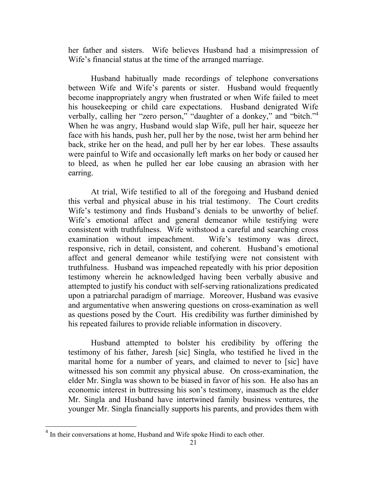her father and sisters. Wife believes Husband had a misimpression of Wife's financial status at the time of the arranged marriage.

Husband habitually made recordings of telephone conversations between Wife and Wife's parents or sister. Husband would frequently become inappropriately angry when frustrated or when Wife failed to meet his housekeeping or child care expectations. Husband denigrated Wife verbally, calling her "zero person," "daughter of a donkey," and "bitch."<sup>4</sup> When he was angry, Husband would slap Wife, pull her hair, squeeze her face with his hands, push her, pull her by the nose, twist her arm behind her back, strike her on the head, and pull her by her ear lobes. These assaults were painful to Wife and occasionally left marks on her body or caused her to bleed, as when he pulled her ear lobe causing an abrasion with her earring.

At trial, Wife testified to all of the foregoing and Husband denied this verbal and physical abuse in his trial testimony. The Court credits Wife's testimony and finds Husband's denials to be unworthy of belief. Wife's emotional affect and general demeanor while testifying were consistent with truthfulness. Wife withstood a careful and searching cross examination without impeachment. Wife's testimony was direct, responsive, rich in detail, consistent, and coherent. Husband's emotional affect and general demeanor while testifying were not consistent with truthfulness. Husband was impeached repeatedly with his prior deposition testimony wherein he acknowledged having been verbally abusive and attempted to justify his conduct with self-serving rationalizations predicated upon a patriarchal paradigm of marriage. Moreover, Husband was evasive and argumentative when answering questions on cross-examination as well as questions posed by the Court. His credibility was further diminished by his repeated failures to provide reliable information in discovery.

Husband attempted to bolster his credibility by offering the testimony of his father, Jaresh [sic] Singla, who testified he lived in the marital home for a number of years, and claimed to never to [sic] have witnessed his son commit any physical abuse. On cross-examination, the elder Mr. Singla was shown to be biased in favor of his son. He also has an economic interest in buttressing his son's testimony, inasmuch as the elder Mr. Singla and Husband have intertwined family business ventures, the younger Mr. Singla financially supports his parents, and provides them with

l

<sup>&</sup>lt;sup>4</sup> In their conversations at home, Husband and Wife spoke Hindi to each other.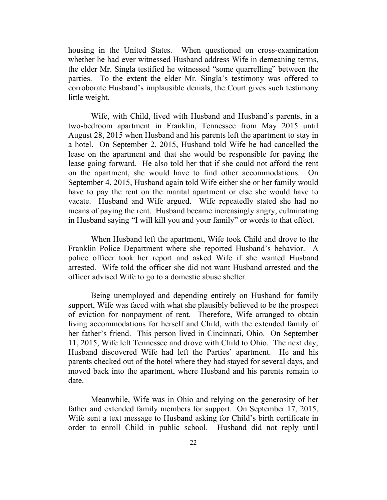housing in the United States. When questioned on cross-examination whether he had ever witnessed Husband address Wife in demeaning terms, the elder Mr. Singla testified he witnessed "some quarrelling" between the parties. To the extent the elder Mr. Singla's testimony was offered to corroborate Husband's implausible denials, the Court gives such testimony little weight.

Wife, with Child, lived with Husband and Husband's parents, in a two-bedroom apartment in Franklin, Tennessee from May 2015 until August 28, 2015 when Husband and his parents left the apartment to stay in a hotel. On September 2, 2015, Husband told Wife he had cancelled the lease on the apartment and that she would be responsible for paying the lease going forward. He also told her that if she could not afford the rent on the apartment, she would have to find other accommodations. On September 4, 2015, Husband again told Wife either she or her family would have to pay the rent on the marital apartment or else she would have to vacate. Husband and Wife argued. Wife repeatedly stated she had no means of paying the rent. Husband became increasingly angry, culminating in Husband saying "I will kill you and your family" or words to that effect.

When Husband left the apartment, Wife took Child and drove to the Franklin Police Department where she reported Husband's behavior. A police officer took her report and asked Wife if she wanted Husband arrested. Wife told the officer she did not want Husband arrested and the officer advised Wife to go to a domestic abuse shelter.

Being unemployed and depending entirely on Husband for family support, Wife was faced with what she plausibly believed to be the prospect of eviction for nonpayment of rent. Therefore, Wife arranged to obtain living accommodations for herself and Child, with the extended family of her father's friend. This person lived in Cincinnati, Ohio. On September 11, 2015, Wife left Tennessee and drove with Child to Ohio. The next day, Husband discovered Wife had left the Parties' apartment. He and his parents checked out of the hotel where they had stayed for several days, and moved back into the apartment, where Husband and his parents remain to date.

Meanwhile, Wife was in Ohio and relying on the generosity of her father and extended family members for support. On September 17, 2015, Wife sent a text message to Husband asking for Child's birth certificate in order to enroll Child in public school. Husband did not reply until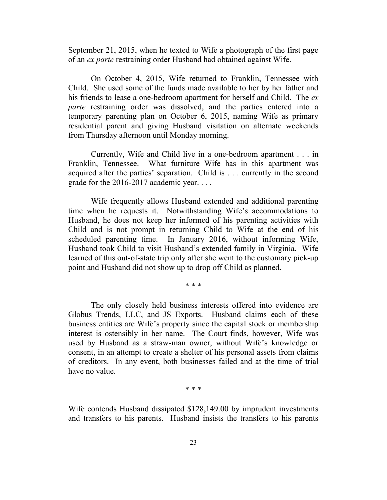September 21, 2015, when he texted to Wife a photograph of the first page of an *ex parte* restraining order Husband had obtained against Wife.

On October 4, 2015, Wife returned to Franklin, Tennessee with Child. She used some of the funds made available to her by her father and his friends to lease a one-bedroom apartment for herself and Child. The *ex parte* restraining order was dissolved, and the parties entered into a temporary parenting plan on October 6, 2015, naming Wife as primary residential parent and giving Husband visitation on alternate weekends from Thursday afternoon until Monday morning.

Currently, Wife and Child live in a one-bedroom apartment . . . in Franklin, Tennessee. What furniture Wife has in this apartment was acquired after the parties' separation. Child is . . . currently in the second grade for the 2016-2017 academic year. . . .

Wife frequently allows Husband extended and additional parenting time when he requests it. Notwithstanding Wife's accommodations to Husband, he does not keep her informed of his parenting activities with Child and is not prompt in returning Child to Wife at the end of his scheduled parenting time. In January 2016, without informing Wife, Husband took Child to visit Husband's extended family in Virginia. Wife learned of this out-of-state trip only after she went to the customary pick-up point and Husband did not show up to drop off Child as planned.

\* \* \*

The only closely held business interests offered into evidence are Globus Trends, LLC, and JS Exports. Husband claims each of these business entities are Wife's property since the capital stock or membership interest is ostensibly in her name. The Court finds, however, Wife was used by Husband as a straw-man owner, without Wife's knowledge or consent, in an attempt to create a shelter of his personal assets from claims of creditors. In any event, both businesses failed and at the time of trial have no value.

\* \* \*

Wife contends Husband dissipated \$128,149.00 by imprudent investments and transfers to his parents. Husband insists the transfers to his parents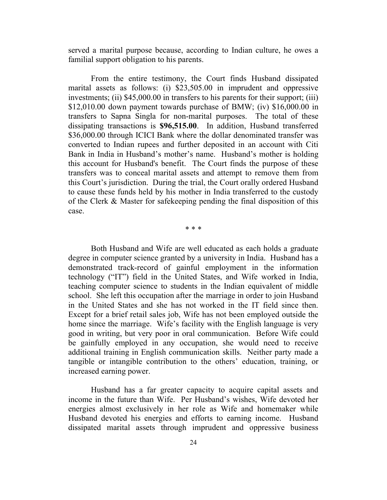served a marital purpose because, according to Indian culture, he owes a familial support obligation to his parents.

From the entire testimony, the Court finds Husband dissipated marital assets as follows: (i) \$23,505.00 in imprudent and oppressive investments; (ii) \$45,000.00 in transfers to his parents for their support; (iii) \$12,010.00 down payment towards purchase of BMW; (iv) \$16,000.00 in transfers to Sapna Singla for non-marital purposes. The total of these dissipating transactions is **\$96,515.00**. In addition, Husband transferred \$36,000.00 through ICICI Bank where the dollar denominated transfer was converted to Indian rupees and further deposited in an account with Citi Bank in India in Husband's mother's name. Husband's mother is holding this account for Husband's benefit. The Court finds the purpose of these transfers was to conceal marital assets and attempt to remove them from this Court's jurisdiction. During the trial, the Court orally ordered Husband to cause these funds held by his mother in India transferred to the custody of the Clerk & Master for safekeeping pending the final disposition of this case.

\* \* \*

Both Husband and Wife are well educated as each holds a graduate degree in computer science granted by a university in India. Husband has a demonstrated track-record of gainful employment in the information technology ("IT") field in the United States, and Wife worked in India, teaching computer science to students in the Indian equivalent of middle school. She left this occupation after the marriage in order to join Husband in the United States and she has not worked in the IT field since then. Except for a brief retail sales job, Wife has not been employed outside the home since the marriage. Wife's facility with the English language is very good in writing, but very poor in oral communication. Before Wife could be gainfully employed in any occupation, she would need to receive additional training in English communication skills. Neither party made a tangible or intangible contribution to the others' education, training, or increased earning power.

Husband has a far greater capacity to acquire capital assets and income in the future than Wife. Per Husband's wishes, Wife devoted her energies almost exclusively in her role as Wife and homemaker while Husband devoted his energies and efforts to earning income. Husband dissipated marital assets through imprudent and oppressive business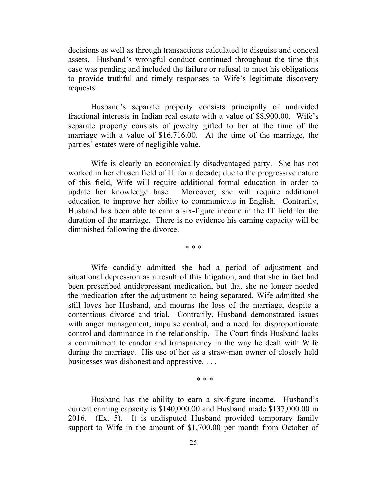decisions as well as through transactions calculated to disguise and conceal assets. Husband's wrongful conduct continued throughout the time this case was pending and included the failure or refusal to meet his obligations to provide truthful and timely responses to Wife's legitimate discovery requests.

Husband's separate property consists principally of undivided fractional interests in Indian real estate with a value of \$8,900.00. Wife's separate property consists of jewelry gifted to her at the time of the marriage with a value of \$16,716.00. At the time of the marriage, the parties' estates were of negligible value.

Wife is clearly an economically disadvantaged party. She has not worked in her chosen field of IT for a decade; due to the progressive nature of this field, Wife will require additional formal education in order to update her knowledge base. Moreover, she will require additional education to improve her ability to communicate in English. Contrarily, Husband has been able to earn a six-figure income in the IT field for the duration of the marriage. There is no evidence his earning capacity will be diminished following the divorce.

\* \* \*

Wife candidly admitted she had a period of adjustment and situational depression as a result of this litigation, and that she in fact had been prescribed antidepressant medication, but that she no longer needed the medication after the adjustment to being separated. Wife admitted she still loves her Husband, and mourns the loss of the marriage, despite a contentious divorce and trial. Contrarily, Husband demonstrated issues with anger management, impulse control, and a need for disproportionate control and dominance in the relationship. The Court finds Husband lacks a commitment to candor and transparency in the way he dealt with Wife during the marriage. His use of her as a straw-man owner of closely held businesses was dishonest and oppressive. . . .

\* \* \*

Husband has the ability to earn a six-figure income. Husband's current earning capacity is \$140,000.00 and Husband made \$137,000.00 in 2016. (Ex. 5). It is undisputed Husband provided temporary family support to Wife in the amount of \$1,700.00 per month from October of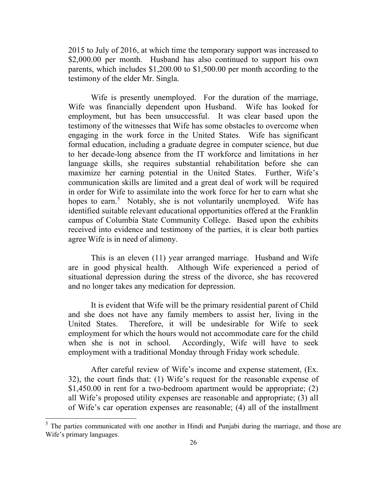2015 to July of 2016, at which time the temporary support was increased to \$2,000.00 per month. Husband has also continued to support his own parents, which includes \$1,200.00 to \$1,500.00 per month according to the testimony of the elder Mr. Singla.

Wife is presently unemployed. For the duration of the marriage, Wife was financially dependent upon Husband. Wife has looked for employment, but has been unsuccessful. It was clear based upon the testimony of the witnesses that Wife has some obstacles to overcome when engaging in the work force in the United States. Wife has significant formal education, including a graduate degree in computer science, but due to her decade-long absence from the IT workforce and limitations in her language skills, she requires substantial rehabilitation before she can maximize her earning potential in the United States. Further, Wife's communication skills are limited and a great deal of work will be required in order for Wife to assimilate into the work force for her to earn what she hopes to earn.<sup>5</sup> Notably, she is not voluntarily unemployed. Wife has identified suitable relevant educational opportunities offered at the Franklin campus of Columbia State Community College. Based upon the exhibits received into evidence and testimony of the parties, it is clear both parties agree Wife is in need of alimony.

This is an eleven (11) year arranged marriage. Husband and Wife are in good physical health. Although Wife experienced a period of situational depression during the stress of the divorce, she has recovered and no longer takes any medication for depression.

It is evident that Wife will be the primary residential parent of Child and she does not have any family members to assist her, living in the United States. Therefore, it will be undesirable for Wife to seek employment for which the hours would not accommodate care for the child when she is not in school. Accordingly, Wife will have to seek employment with a traditional Monday through Friday work schedule.

After careful review of Wife's income and expense statement, (Ex. 32), the court finds that: (1) Wife's request for the reasonable expense of \$1,450.00 in rent for a two-bedroom apartment would be appropriate; (2) all Wife's proposed utility expenses are reasonable and appropriate; (3) all of Wife's car operation expenses are reasonable; (4) all of the installment

l

 $<sup>5</sup>$  The parties communicated with one another in Hindi and Punjabi during the marriage, and those are</sup> Wife's primary languages.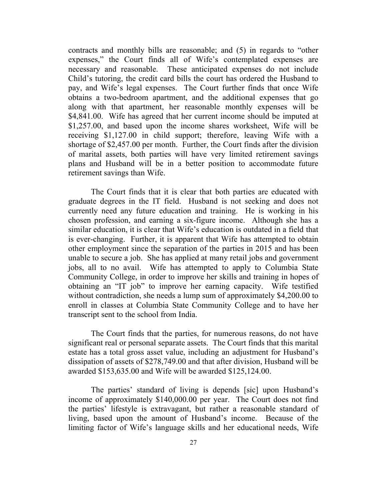contracts and monthly bills are reasonable; and (5) in regards to "other expenses," the Court finds all of Wife's contemplated expenses are necessary and reasonable. These anticipated expenses do not include Child's tutoring, the credit card bills the court has ordered the Husband to pay, and Wife's legal expenses. The Court further finds that once Wife obtains a two-bedroom apartment, and the additional expenses that go along with that apartment, her reasonable monthly expenses will be \$4,841.00. Wife has agreed that her current income should be imputed at \$1,257.00, and based upon the income shares worksheet, Wife will be receiving \$1,127.00 in child support; therefore, leaving Wife with a shortage of \$2,457.00 per month. Further, the Court finds after the division of marital assets, both parties will have very limited retirement savings plans and Husband will be in a better position to accommodate future retirement savings than Wife.

The Court finds that it is clear that both parties are educated with graduate degrees in the IT field. Husband is not seeking and does not currently need any future education and training. He is working in his chosen profession, and earning a six-figure income. Although she has a similar education, it is clear that Wife's education is outdated in a field that is ever-changing. Further, it is apparent that Wife has attempted to obtain other employment since the separation of the parties in 2015 and has been unable to secure a job. She has applied at many retail jobs and government jobs, all to no avail. Wife has attempted to apply to Columbia State Community College, in order to improve her skills and training in hopes of obtaining an "IT job" to improve her earning capacity. Wife testified without contradiction, she needs a lump sum of approximately \$4,200.00 to enroll in classes at Columbia State Community College and to have her transcript sent to the school from India.

The Court finds that the parties, for numerous reasons, do not have significant real or personal separate assets. The Court finds that this marital estate has a total gross asset value, including an adjustment for Husband's dissipation of assets of \$278,749.00 and that after division, Husband will be awarded \$153,635.00 and Wife will be awarded \$125,124.00.

The parties' standard of living is depends [sic] upon Husband's income of approximately \$140,000.00 per year. The Court does not find the parties' lifestyle is extravagant, but rather a reasonable standard of living, based upon the amount of Husband's income. Because of the limiting factor of Wife's language skills and her educational needs, Wife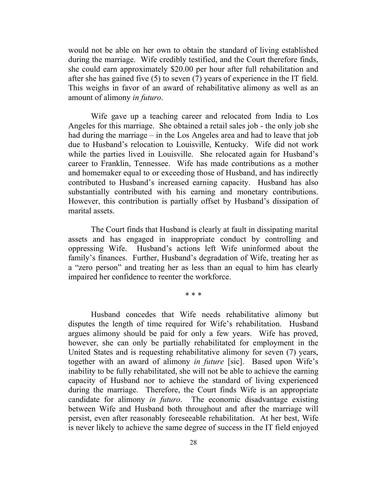would not be able on her own to obtain the standard of living established during the marriage. Wife credibly testified, and the Court therefore finds, she could earn approximately \$20.00 per hour after full rehabilitation and after she has gained five (5) to seven (7) years of experience in the IT field. This weighs in favor of an award of rehabilitative alimony as well as an amount of alimony *in futuro*.

Wife gave up a teaching career and relocated from India to Los Angeles for this marriage. She obtained a retail sales job - the only job she had during the marriage – in the Los Angeles area and had to leave that job due to Husband's relocation to Louisville, Kentucky. Wife did not work while the parties lived in Louisville. She relocated again for Husband's career to Franklin, Tennessee. Wife has made contributions as a mother and homemaker equal to or exceeding those of Husband, and has indirectly contributed to Husband's increased earning capacity. Husband has also substantially contributed with his earning and monetary contributions. However, this contribution is partially offset by Husband's dissipation of marital assets.

The Court finds that Husband is clearly at fault in dissipating marital assets and has engaged in inappropriate conduct by controlling and oppressing Wife. Husband's actions left Wife uninformed about the family's finances. Further, Husband's degradation of Wife, treating her as a "zero person" and treating her as less than an equal to him has clearly impaired her confidence to reenter the workforce.

\* \* \*

Husband concedes that Wife needs rehabilitative alimony but disputes the length of time required for Wife's rehabilitation. Husband argues alimony should be paid for only a few years. Wife has proved, however, she can only be partially rehabilitated for employment in the United States and is requesting rehabilitative alimony for seven (7) years, together with an award of alimony *in future* [sic]. Based upon Wife's inability to be fully rehabilitated, she will not be able to achieve the earning capacity of Husband nor to achieve the standard of living experienced during the marriage. Therefore, the Court finds Wife is an appropriate candidate for alimony *in futuro*. The economic disadvantage existing between Wife and Husband both throughout and after the marriage will persist, even after reasonably foreseeable rehabilitation. At her best, Wife is never likely to achieve the same degree of success in the IT field enjoyed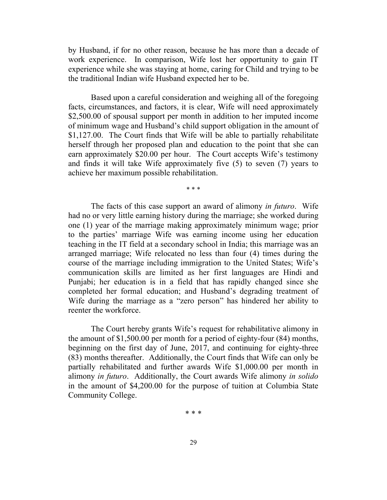by Husband, if for no other reason, because he has more than a decade of work experience. In comparison, Wife lost her opportunity to gain IT experience while she was staying at home, caring for Child and trying to be the traditional Indian wife Husband expected her to be.

Based upon a careful consideration and weighing all of the foregoing facts, circumstances, and factors, it is clear, Wife will need approximately \$2,500.00 of spousal support per month in addition to her imputed income of minimum wage and Husband's child support obligation in the amount of \$1,127.00. The Court finds that Wife will be able to partially rehabilitate herself through her proposed plan and education to the point that she can earn approximately \$20.00 per hour. The Court accepts Wife's testimony and finds it will take Wife approximately five (5) to seven (7) years to achieve her maximum possible rehabilitation.

\* \* \*

The facts of this case support an award of alimony *in futuro*. Wife had no or very little earning history during the marriage; she worked during one (1) year of the marriage making approximately minimum wage; prior to the parties' marriage Wife was earning income using her education teaching in the IT field at a secondary school in India; this marriage was an arranged marriage; Wife relocated no less than four (4) times during the course of the marriage including immigration to the United States; Wife's communication skills are limited as her first languages are Hindi and Punjabi; her education is in a field that has rapidly changed since she completed her formal education; and Husband's degrading treatment of Wife during the marriage as a "zero person" has hindered her ability to reenter the workforce.

The Court hereby grants Wife's request for rehabilitative alimony in the amount of \$1,500.00 per month for a period of eighty-four (84) months, beginning on the first day of June, 2017, and continuing for eighty-three (83) months thereafter. Additionally, the Court finds that Wife can only be partially rehabilitated and further awards Wife \$1,000.00 per month in alimony *in futuro*. Additionally, the Court awards Wife alimony *in solido* in the amount of \$4,200.00 for the purpose of tuition at Columbia State Community College.

\* \* \*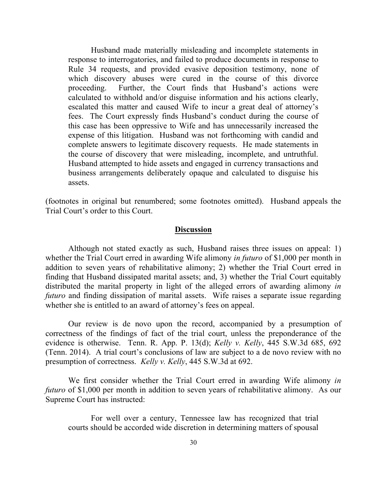Husband made materially misleading and incomplete statements in response to interrogatories, and failed to produce documents in response to Rule 34 requests, and provided evasive deposition testimony, none of which discovery abuses were cured in the course of this divorce proceeding. Further, the Court finds that Husband's actions were calculated to withhold and/or disguise information and his actions clearly, escalated this matter and caused Wife to incur a great deal of attorney's fees. The Court expressly finds Husband's conduct during the course of this case has been oppressive to Wife and has unnecessarily increased the expense of this litigation. Husband was not forthcoming with candid and complete answers to legitimate discovery requests. He made statements in the course of discovery that were misleading, incomplete, and untruthful. Husband attempted to hide assets and engaged in currency transactions and business arrangements deliberately opaque and calculated to disguise his assets.

(footnotes in original but renumbered; some footnotes omitted). Husband appeals the Trial Court's order to this Court.

### **Discussion**

Although not stated exactly as such, Husband raises three issues on appeal: 1) whether the Trial Court erred in awarding Wife alimony *in futuro* of \$1,000 per month in addition to seven years of rehabilitative alimony; 2) whether the Trial Court erred in finding that Husband dissipated marital assets; and, 3) whether the Trial Court equitably distributed the marital property in light of the alleged errors of awarding alimony *in futuro* and finding dissipation of marital assets. Wife raises a separate issue regarding whether she is entitled to an award of attorney's fees on appeal.

Our review is de novo upon the record, accompanied by a presumption of correctness of the findings of fact of the trial court, unless the preponderance of the evidence is otherwise. Tenn. R. App. P. 13(d); *Kelly v. Kelly*, 445 S.W.3d 685, 692 (Tenn. 2014). A trial court's conclusions of law are subject to a de novo review with no presumption of correctness. *Kelly v. Kelly*, 445 S.W.3d at 692.

We first consider whether the Trial Court erred in awarding Wife alimony *in futuro* of \$1,000 per month in addition to seven years of rehabilitative alimony. As our Supreme Court has instructed:

For well over a century, Tennessee law has recognized that trial courts should be accorded wide discretion in determining matters of spousal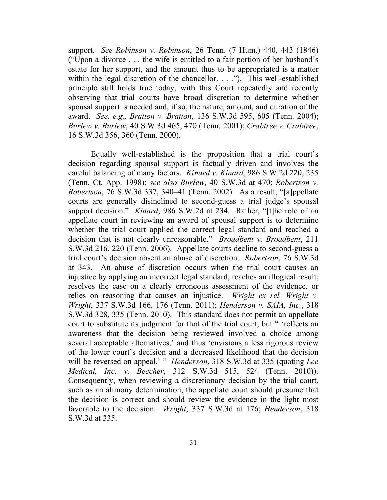support. *See Robinson v. Robinson*, 26 Tenn. (7 Hum.) 440, 443 (1846) ("Upon a divorce . . . the wife is entitled to a fair portion of her husband's estate for her support, and the amount thus to be appropriated is a matter within the legal discretion of the chancellor. . . ."). This well-established principle still holds true today, with this Court repeatedly and recently observing that trial courts have broad discretion to determine whether spousal support is needed and, if so, the nature, amount, and duration of the award. *See, e.g., Bratton v. Bratton*, 136 S.W.3d 595, 605 (Tenn. 2004); *Burlew v. Burlew*, 40 S.W.3d 465, 470 (Tenn. 2001); *Crabtree v. Crabtree*, 16 S.W.3d 356, 360 (Tenn. 2000).

Equally well-established is the proposition that a trial court's decision regarding spousal support is factually driven and involves the careful balancing of many factors. *Kinard v. Kinard*, 986 S.W.2d 220, 235 (Tenn. Ct. App. 1998); *see also Burlew*, 40 S.W.3d at 470; *Robertson v. Robertson*, 76 S.W.3d 337, 340–41 (Tenn. 2002). As a result, "[a]ppellate courts are generally disinclined to second-guess a trial judge's spousal support decision." *Kinard*, 986 S.W.2d at 234. Rather, "[t]he role of an appellate court in reviewing an award of spousal support is to determine whether the trial court applied the correct legal standard and reached a decision that is not clearly unreasonable." *Broadbent v. Broadbent*, 211 S.W.3d 216, 220 (Tenn. 2006). Appellate courts decline to second-guess a trial court's decision absent an abuse of discretion. *Robertson*, 76 S.W.3d at 343. An abuse of discretion occurs when the trial court causes an injustice by applying an incorrect legal standard, reaches an illogical result, resolves the case on a clearly erroneous assessment of the evidence, or relies on reasoning that causes an injustice. *Wright ex rel. Wright v. Wright*, 337 S.W.3d 166, 176 (Tenn. 2011); *Henderson v. SAIA, Inc.*, 318 S.W.3d 328, 335 (Tenn. 2010). This standard does not permit an appellate court to substitute its judgment for that of the trial court, but " 'reflects an awareness that the decision being reviewed involved a choice among several acceptable alternatives,' and thus 'envisions a less rigorous review of the lower court's decision and a decreased likelihood that the decision will be reversed on appeal.' " *Henderson*, 318 S.W.3d at 335 (quoting *Lee Medical, Inc. v. Beecher*, 312 S.W.3d 515, 524 (Tenn. 2010)). Consequently, when reviewing a discretionary decision by the trial court, such as an alimony determination, the appellate court should presume that the decision is correct and should review the evidence in the light most favorable to the decision. *Wright*, 337 S.W.3d at 176; *Henderson*, 318 S.W.3d at 335.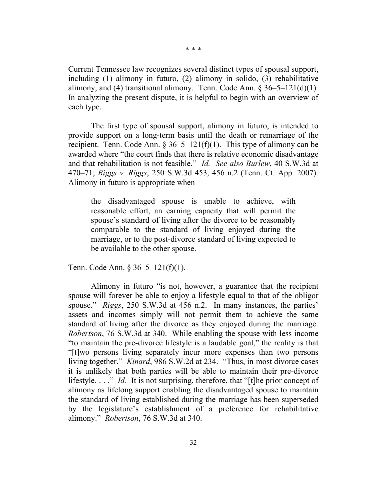Current Tennessee law recognizes several distinct types of spousal support, including (1) alimony in futuro, (2) alimony in solido, (3) rehabilitative alimony, and (4) transitional alimony. Tenn. Code Ann.  $\S 36-5-121(d)(1)$ . In analyzing the present dispute, it is helpful to begin with an overview of each type.

The first type of spousal support, alimony in futuro, is intended to provide support on a long-term basis until the death or remarriage of the recipient. Tenn. Code Ann.  $\S 36-5-121(f)(1)$ . This type of alimony can be awarded where "the court finds that there is relative economic disadvantage and that rehabilitation is not feasible." *Id. See also Burlew*, 40 S.W.3d at 470–71; *Riggs v. Riggs*, 250 S.W.3d 453, 456 n.2 (Tenn. Ct. App. 2007). Alimony in futuro is appropriate when

the disadvantaged spouse is unable to achieve, with reasonable effort, an earning capacity that will permit the spouse's standard of living after the divorce to be reasonably comparable to the standard of living enjoyed during the marriage, or to the post-divorce standard of living expected to be available to the other spouse.

Tenn. Code Ann. § 36–5–121(f)(1).

Alimony in futuro "is not, however, a guarantee that the recipient spouse will forever be able to enjoy a lifestyle equal to that of the obligor spouse." *Riggs*, 250 S.W.3d at 456 n.2. In many instances, the parties' assets and incomes simply will not permit them to achieve the same standard of living after the divorce as they enjoyed during the marriage. *Robertson*, 76 S.W.3d at 340. While enabling the spouse with less income "to maintain the pre-divorce lifestyle is a laudable goal," the reality is that "[t]wo persons living separately incur more expenses than two persons living together." *Kinard*, 986 S.W.2d at 234. "Thus, in most divorce cases it is unlikely that both parties will be able to maintain their pre-divorce lifestyle. . . ." *Id.* It is not surprising, therefore, that "[t]he prior concept of alimony as lifelong support enabling the disadvantaged spouse to maintain the standard of living established during the marriage has been superseded by the legislature's establishment of a preference for rehabilitative alimony." *Robertson*, 76 S.W.3d at 340.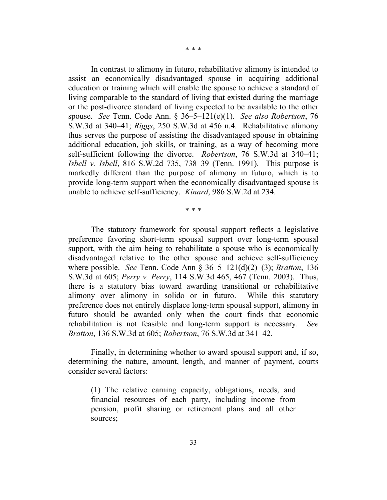\* \* \*

In contrast to alimony in futuro, rehabilitative alimony is intended to assist an economically disadvantaged spouse in acquiring additional education or training which will enable the spouse to achieve a standard of living comparable to the standard of living that existed during the marriage or the post-divorce standard of living expected to be available to the other spouse. *See* Tenn. Code Ann. § 36–5–121(e)(1). *See also Robertson*, 76 S.W.3d at 340–41; *Riggs*, 250 S.W.3d at 456 n.4. Rehabilitative alimony thus serves the purpose of assisting the disadvantaged spouse in obtaining additional education, job skills, or training, as a way of becoming more self-sufficient following the divorce. *Robertson*, 76 S.W.3d at 340–41; *Isbell v. Isbell*, 816 S.W.2d 735, 738–39 (Tenn. 1991). This purpose is markedly different than the purpose of alimony in futuro, which is to provide long-term support when the economically disadvantaged spouse is unable to achieve self-sufficiency. *Kinard*, 986 S.W.2d at 234.

\* \* \*

The statutory framework for spousal support reflects a legislative preference favoring short-term spousal support over long-term spousal support, with the aim being to rehabilitate a spouse who is economically disadvantaged relative to the other spouse and achieve self-sufficiency where possible. *See* Tenn. Code Ann § 36–5–121(d)(2)–(3); *Bratton*, 136 S.W.3d at 605; *Perry v. Perry*, 114 S.W.3d 465, 467 (Tenn. 2003). Thus, there is a statutory bias toward awarding transitional or rehabilitative alimony over alimony in solido or in futuro. While this statutory preference does not entirely displace long-term spousal support, alimony in futuro should be awarded only when the court finds that economic rehabilitation is not feasible and long-term support is necessary. *See Bratton*, 136 S.W.3d at 605; *Robertson*, 76 S.W.3d at 341–42.

Finally, in determining whether to award spousal support and, if so, determining the nature, amount, length, and manner of payment, courts consider several factors:

(1) The relative earning capacity, obligations, needs, and financial resources of each party, including income from pension, profit sharing or retirement plans and all other sources;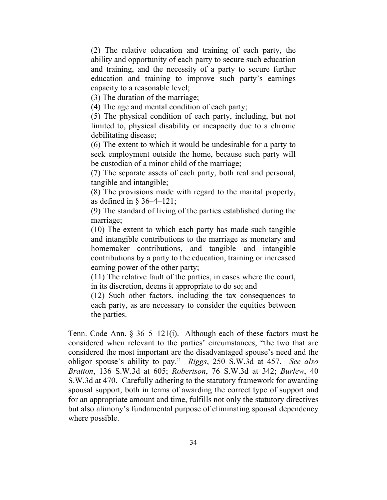(2) The relative education and training of each party, the ability and opportunity of each party to secure such education and training, and the necessity of a party to secure further education and training to improve such party's earnings capacity to a reasonable level;

(3) The duration of the marriage;

(4) The age and mental condition of each party;

(5) The physical condition of each party, including, but not limited to, physical disability or incapacity due to a chronic debilitating disease;

(6) The extent to which it would be undesirable for a party to seek employment outside the home, because such party will be custodian of a minor child of the marriage;

(7) The separate assets of each party, both real and personal, tangible and intangible;

(8) The provisions made with regard to the marital property, as defined in  $\S 36-4-121$ ;

(9) The standard of living of the parties established during the marriage;

(10) The extent to which each party has made such tangible and intangible contributions to the marriage as monetary and homemaker contributions, and tangible and intangible contributions by a party to the education, training or increased earning power of the other party;

(11) The relative fault of the parties, in cases where the court, in its discretion, deems it appropriate to do so; and

(12) Such other factors, including the tax consequences to each party, as are necessary to consider the equities between the parties.

Tenn. Code Ann. § 36–5–121(i). Although each of these factors must be considered when relevant to the parties' circumstances, "the two that are considered the most important are the disadvantaged spouse's need and the obligor spouse's ability to pay." *Riggs*, 250 S.W.3d at 457. *See also Bratton*, 136 S.W.3d at 605; *Robertson*, 76 S.W.3d at 342; *Burlew*, 40 S.W.3d at 470. Carefully adhering to the statutory framework for awarding spousal support, both in terms of awarding the correct type of support and for an appropriate amount and time, fulfills not only the statutory directives but also alimony's fundamental purpose of eliminating spousal dependency where possible.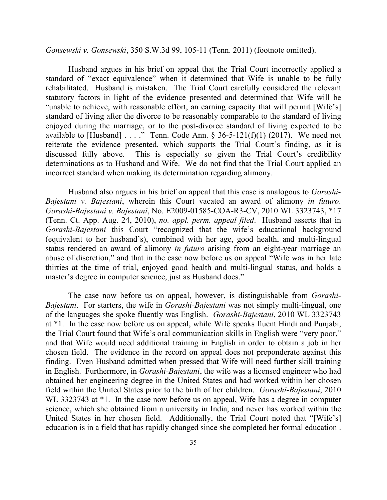*Gonsewski v. Gonsewski*, 350 S.W.3d 99, 105-11 (Tenn. 2011) (footnote omitted).

Husband argues in his brief on appeal that the Trial Court incorrectly applied a standard of "exact equivalence" when it determined that Wife is unable to be fully rehabilitated. Husband is mistaken. The Trial Court carefully considered the relevant statutory factors in light of the evidence presented and determined that Wife will be "unable to achieve, with reasonable effort, an earning capacity that will permit [Wife's] standard of living after the divorce to be reasonably comparable to the standard of living enjoyed during the marriage, or to the post-divorce standard of living expected to be available to [Husband] . . . ." Tenn. Code Ann.  $\S$  36-5-121(f)(1) (2017). We need not reiterate the evidence presented, which supports the Trial Court's finding, as it is discussed fully above. This is especially so given the Trial Court's credibility determinations as to Husband and Wife. We do not find that the Trial Court applied an incorrect standard when making its determination regarding alimony.

Husband also argues in his brief on appeal that this case is analogous to *Gorashi-Bajestani v. Bajestani*, wherein this Court vacated an award of alimony *in futuro*. *Gorashi-Bajestani v. Bajestani*, No. E2009-01585-COA-R3-CV, 2010 WL 3323743, \*17 (Tenn. Ct. App. Aug. 24, 2010), *no. appl. perm. appeal filed*. Husband asserts that in *Gorashi-Bajestani* this Court "recognized that the wife's educational background (equivalent to her husband's), combined with her age, good health, and multi-lingual status rendered an award of alimony *in futuro* arising from an eight-year marriage an abuse of discretion," and that in the case now before us on appeal "Wife was in her late thirties at the time of trial, enjoyed good health and multi-lingual status, and holds a master's degree in computer science, just as Husband does."

The case now before us on appeal, however, is distinguishable from *Gorashi-Bajestani*. For starters, the wife in *Gorashi-Bajestani* was not simply multi-lingual, one of the languages she spoke fluently was English. *Gorashi-Bajestani*, 2010 WL 3323743 at \*1. In the case now before us on appeal, while Wife speaks fluent Hindi and Punjabi, the Trial Court found that Wife's oral communication skills in English were "very poor," and that Wife would need additional training in English in order to obtain a job in her chosen field. The evidence in the record on appeal does not preponderate against this finding. Even Husband admitted when pressed that Wife will need further skill training in English. Furthermore, in *Gorashi-Bajestani*, the wife was a licensed engineer who had obtained her engineering degree in the United States and had worked within her chosen field within the United States prior to the birth of her children. *Gorashi-Bajestani*, 2010 WL 3323743 at  $*1$ . In the case now before us on appeal, Wife has a degree in computer science, which she obtained from a university in India, and never has worked within the United States in her chosen field. Additionally, the Trial Court noted that "[Wife's] education is in a field that has rapidly changed since she completed her formal education .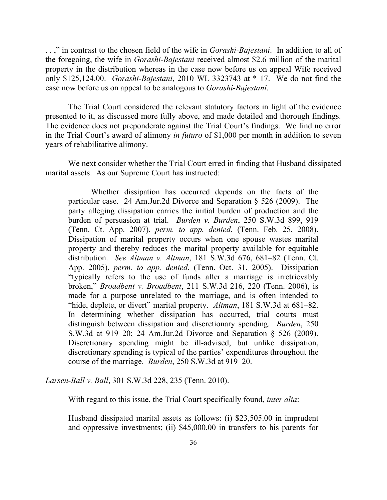. . ," in contrast to the chosen field of the wife in *Gorashi-Bajestani*. In addition to all of the foregoing, the wife in *Gorashi-Bajestani* received almost \$2.6 million of the marital property in the distribution whereas in the case now before us on appeal Wife received only \$125,124.00. *Gorashi-Bajestani*, 2010 WL 3323743 at \* 17. We do not find the case now before us on appeal to be analogous to *Gorashi-Bajestani*.

The Trial Court considered the relevant statutory factors in light of the evidence presented to it, as discussed more fully above, and made detailed and thorough findings. The evidence does not preponderate against the Trial Court's findings. We find no error in the Trial Court's award of alimony *in futuro* of \$1,000 per month in addition to seven years of rehabilitative alimony.

We next consider whether the Trial Court erred in finding that Husband dissipated marital assets. As our Supreme Court has instructed:

Whether dissipation has occurred depends on the facts of the particular case. 24 Am.Jur.2d Divorce and Separation § 526 (2009). The party alleging dissipation carries the initial burden of production and the burden of persuasion at trial. *Burden v. Burden*, 250 S.W.3d 899, 919 (Tenn. Ct. App. 2007), *perm. to app. denied*, (Tenn. Feb. 25, 2008). Dissipation of marital property occurs when one spouse wastes marital property and thereby reduces the marital property available for equitable distribution. *See Altman v. Altman*, 181 S.W.3d 676, 681–82 (Tenn. Ct. App. 2005), *perm. to app. denied*, (Tenn. Oct. 31, 2005). Dissipation "typically refers to the use of funds after a marriage is irretrievably broken," *Broadbent v. Broadbent*, 211 S.W.3d 216, 220 (Tenn. 2006), is made for a purpose unrelated to the marriage, and is often intended to "hide, deplete, or divert" marital property. *Altman*, 181 S.W.3d at 681–82. In determining whether dissipation has occurred, trial courts must distinguish between dissipation and discretionary spending. *Burden*, 250 S.W.3d at 919–20; 24 Am.Jur.2d Divorce and Separation § 526 (2009). Discretionary spending might be ill-advised, but unlike dissipation, discretionary spending is typical of the parties' expenditures throughout the course of the marriage. *Burden*, 250 S.W.3d at 919–20.

*Larsen-Ball v. Ball*, 301 S.W.3d 228, 235 (Tenn. 2010).

With regard to this issue, the Trial Court specifically found, *inter alia*:

Husband dissipated marital assets as follows: (i) \$23,505.00 in imprudent and oppressive investments; (ii) \$45,000.00 in transfers to his parents for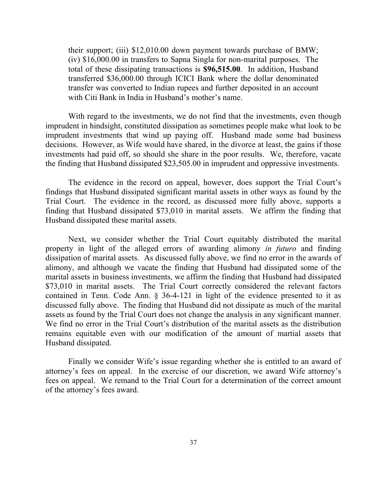their support; (iii) \$12,010.00 down payment towards purchase of BMW; (iv) \$16,000.00 in transfers to Sapna Singla for non-marital purposes. The total of these dissipating transactions is **\$96,515.00**. In addition, Husband transferred \$36,000.00 through ICICI Bank where the dollar denominated transfer was converted to Indian rupees and further deposited in an account with Citi Bank in India in Husband's mother's name.

With regard to the investments, we do not find that the investments, even though imprudent in hindsight, constituted dissipation as sometimes people make what look to be imprudent investments that wind up paying off. Husband made some bad business decisions. However, as Wife would have shared, in the divorce at least, the gains if those investments had paid off, so should she share in the poor results. We, therefore, vacate the finding that Husband dissipated \$23,505.00 in imprudent and oppressive investments.

The evidence in the record on appeal, however, does support the Trial Court's findings that Husband dissipated significant marital assets in other ways as found by the Trial Court. The evidence in the record, as discussed more fully above, supports a finding that Husband dissipated \$73,010 in marital assets. We affirm the finding that Husband dissipated these marital assets.

Next, we consider whether the Trial Court equitably distributed the marital property in light of the alleged errors of awarding alimony *in futuro* and finding dissipation of marital assets. As discussed fully above, we find no error in the awards of alimony, and although we vacate the finding that Husband had dissipated some of the marital assets in business investments, we affirm the finding that Husband had dissipated \$73,010 in marital assets. The Trial Court correctly considered the relevant factors contained in Tenn. Code Ann. § 36-4-121 in light of the evidence presented to it as discussed fully above. The finding that Husband did not dissipate as much of the marital assets as found by the Trial Court does not change the analysis in any significant manner. We find no error in the Trial Court's distribution of the marital assets as the distribution remains equitable even with our modification of the amount of martial assets that Husband dissipated.

Finally we consider Wife's issue regarding whether she is entitled to an award of attorney's fees on appeal. In the exercise of our discretion, we award Wife attorney's fees on appeal. We remand to the Trial Court for a determination of the correct amount of the attorney's fees award.